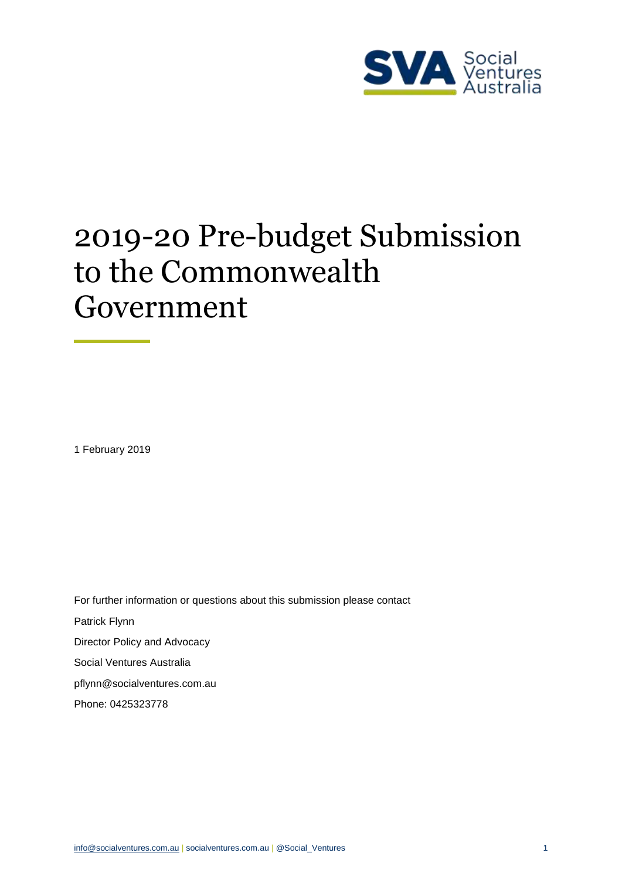

# 2019-20 Pre-budget Submission to the Commonwealth Government

1 February 2019

For further information or questions about this submission please contact Patrick Flynn Director Policy and Advocacy Social Ventures Australia [pflynn@socialventures.com.au](mailto:pflynn@socialventures.com.au) Phone: 0425323778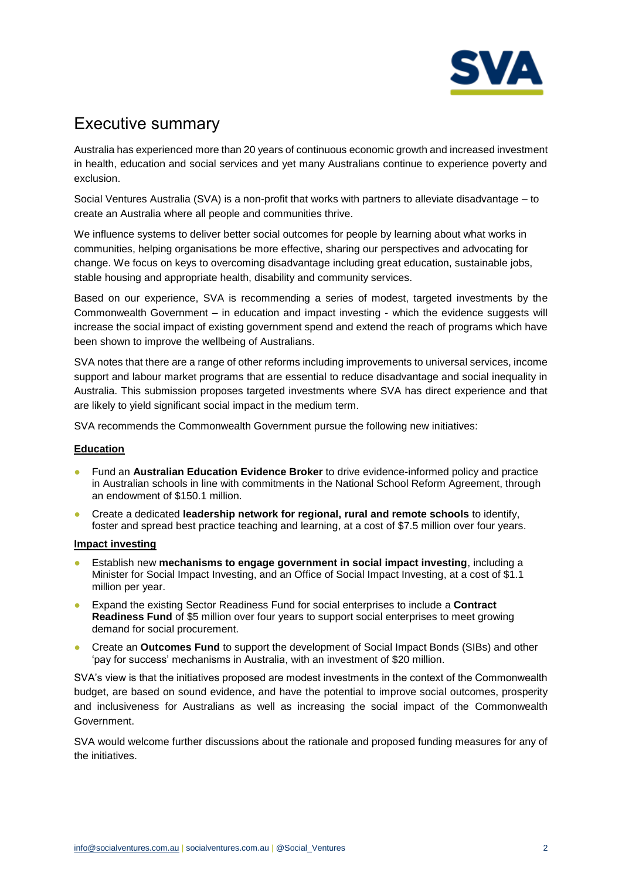

# Executive summary

Australia has experienced more than 20 years of continuous economic growth and increased investment in health, education and social services and yet many Australians continue to experience poverty and exclusion.

Social Ventures Australia (SVA) is a non-profit that works with partners to alleviate disadvantage – to create an Australia where all people and communities thrive.

We influence systems to deliver better social outcomes for people by learning about what works in communities, helping organisations be more effective, sharing our perspectives and advocating for change. We focus on keys to overcoming disadvantage including great education, sustainable jobs, stable housing and appropriate health, disability and community services.

Based on our experience, SVA is recommending a series of modest, targeted investments by the Commonwealth Government – in education and impact investing - which the evidence suggests will increase the social impact of existing government spend and extend the reach of programs which have been shown to improve the wellbeing of Australians.

SVA notes that there are a range of other reforms including improvements to universal services, income support and labour market programs that are essential to reduce disadvantage and social inequality in Australia. This submission proposes targeted investments where SVA has direct experience and that are likely to yield significant social impact in the medium term.

SVA recommends the Commonwealth Government pursue the following new initiatives:

## **Education**

- Fund an **Australian Education Evidence Broker** to drive evidence-informed policy and practice in Australian schools in line with commitments in the National School Reform Agreement, through an endowment of \$150.1 million.
- Create a dedicated **leadership network for regional, rural and remote schools** to identify, foster and spread best practice teaching and learning, at a cost of \$7.5 million over four years.

#### **Impact investing**

- Establish new **mechanisms to engage government in social impact investing**, including a Minister for Social Impact Investing, and an Office of Social Impact Investing, at a cost of \$1.1 million per year.
- Expand the existing Sector Readiness Fund for social enterprises to include a **Contract Readiness Fund** of \$5 million over four years to support social enterprises to meet growing demand for social procurement.
- Create an **Outcomes Fund** to support the development of Social Impact Bonds (SIBs) and other 'pay for success' mechanisms in Australia, with an investment of \$20 million.

SVA's view is that the initiatives proposed are modest investments in the context of the Commonwealth budget, are based on sound evidence, and have the potential to improve social outcomes, prosperity and inclusiveness for Australians as well as increasing the social impact of the Commonwealth Government.

SVA would welcome further discussions about the rationale and proposed funding measures for any of the initiatives.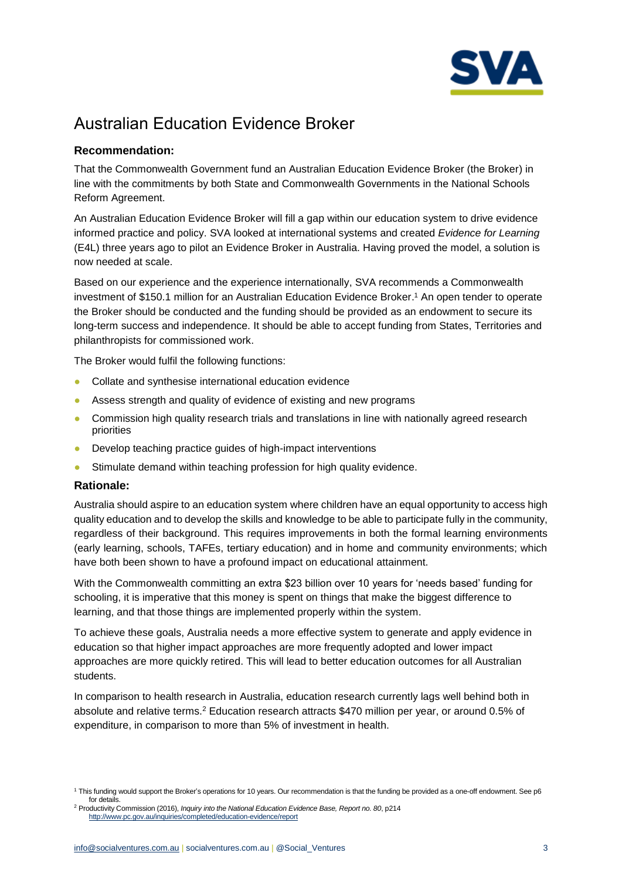

# Australian Education Evidence Broker

# **Recommendation:**

That the Commonwealth Government fund an Australian Education Evidence Broker (the Broker) in line with the commitments by both State and Commonwealth Governments in the National Schools Reform Agreement.

An Australian Education Evidence Broker will fill a gap within our education system to drive evidence informed practice and policy. SVA looked at international systems and created *Evidence for Learning* (E4L) three years ago to pilot an Evidence Broker in Australia. Having proved the model, a solution is now needed at scale.

Based on our experience and the experience internationally, SVA recommends a Commonwealth investment of \$150.1 million for an Australian Education Evidence Broker. <sup>1</sup> An open tender to operate the Broker should be conducted and the funding should be provided as an endowment to secure its long-term success and independence. It should be able to accept funding from States, Territories and philanthropists for commissioned work.

The Broker would fulfil the following functions:

- Collate and synthesise international education evidence
- Assess strength and quality of evidence of existing and new programs
- Commission high quality research trials and translations in line with nationally agreed research priorities
- Develop teaching practice guides of high-impact interventions
- Stimulate demand within teaching profession for high quality evidence.

## **Rationale:**

Australia should aspire to an education system where children have an equal opportunity to access high quality education and to develop the skills and knowledge to be able to participate fully in the community, regardless of their background. This requires improvements in both the formal learning environments (early learning, schools, TAFEs, tertiary education) and in home and community environments; which have both been shown to have a profound impact on educational attainment.

With the Commonwealth committing an extra \$23 billion over 10 years for 'needs based' funding for schooling, it is imperative that this money is spent on things that make the biggest difference to learning, and that those things are implemented properly within the system.

To achieve these goals, Australia needs a more effective system to generate and apply evidence in education so that higher impact approaches are more frequently adopted and lower impact approaches are more quickly retired. This will lead to better education outcomes for all Australian students.

In comparison to health research in Australia, education research currently lags well behind both in absolute and relative terms.<sup>2</sup> Education research attracts \$470 million per year, or around 0.5% of expenditure, in comparison to more than 5% of investment in health.

<sup>1</sup> This funding would support the Broker's operations for 10 years. Our recommendation is that the funding be provided as a one-off endowment. See p6 for details.

<sup>2</sup> Productivity Commission (2016), *Inquiry into the National Education Evidence Base, Report no. 80*, p214 <http://www.pc.gov.au/inquiries/completed/education-evidence/report>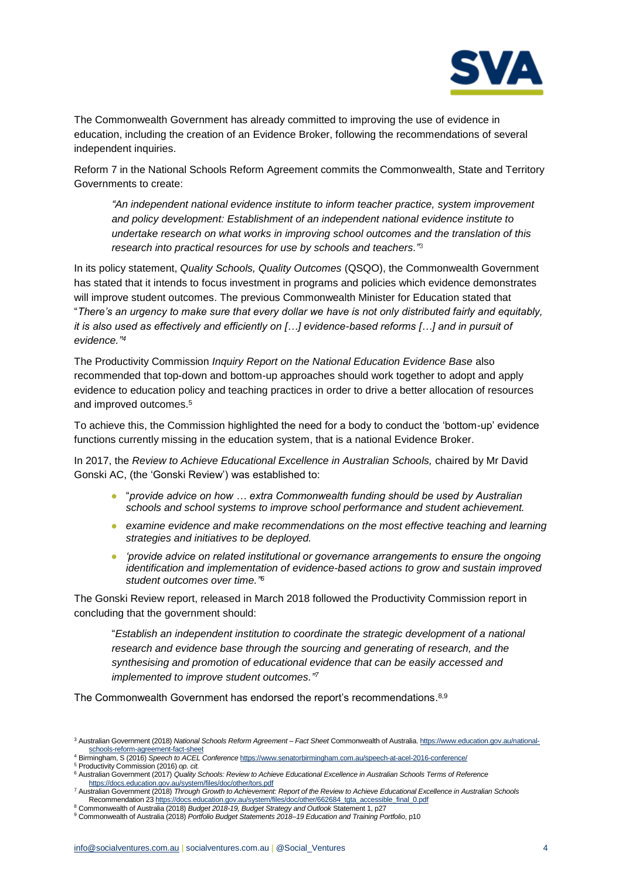

The Commonwealth Government has already committed to improving the use of evidence in education, including the creation of an Evidence Broker, following the recommendations of several independent inquiries.

Reform 7 in the National Schools Reform Agreement commits the Commonwealth, State and Territory Governments to create:

*"An independent national evidence institute to inform teacher practice, system improvement and policy development: Establishment of an independent national evidence institute to undertake research on what works in improving school outcomes and the translation of this research into practical resources for use by schools and teachers."*<sup>3</sup>

In its policy statement, *Quality Schools, Quality Outcomes* (QSQO), the Commonwealth Government has stated that it intends to focus investment in programs and policies which evidence demonstrates will improve student outcomes. The previous Commonwealth Minister for Education stated that "*There's an urgency to make sure that every dollar we have is not only distributed fairly and equitably, it is also used as effectively and efficiently on […] evidence-based reforms […] and in pursuit of evidence." 4*

The Productivity Commission *Inquiry Report on the National Education Evidence Base* also recommended that top-down and bottom-up approaches should work together to adopt and apply evidence to education policy and teaching practices in order to drive a better allocation of resources and improved outcomes.<sup>5</sup>

To achieve this, the Commission highlighted the need for a body to conduct the 'bottom-up' evidence functions currently missing in the education system, that is a national Evidence Broker.

In 2017, the *Review to Achieve Educational Excellence in Australian Schools,* chaired by Mr David Gonski AC, (the 'Gonski Review') was established to:

- "*provide advice on how … extra Commonwealth funding should be used by Australian schools and school systems to improve school performance and student achievement.*
- *examine evidence and make recommendations on the most effective teaching and learning strategies and initiatives to be deployed.*
- *'provide advice on related institutional or governance arrangements to ensure the ongoing identification and implementation of evidence-based actions to grow and sustain improved student outcomes over time." 6*

The Gonski Review report, released in March 2018 followed the Productivity Commission report in concluding that the government should:

"*Establish an independent institution to coordinate the strategic development of a national research and evidence base through the sourcing and generating of research, and the synthesising and promotion of educational evidence that can be easily accessed and implemented to improve student outcomes." 7*

The Commonwealth Government has endorsed the report's recommendations. 8,9

<sup>3</sup> Australian Government (2018) *National Schools Reform Agreement – Fact Sheet* Commonwealth of Australia. [https://www.education.gov.au/national](https://www.education.gov.au/national-schools-reform-agreement-fact-sheet)[schools-reform-agreement-fact-sheet](https://www.education.gov.au/national-schools-reform-agreement-fact-sheet)  <sup>4</sup> Birmingham, S (2016) *Speech to ACEL Conference* <https://www.senatorbirmingham.com.au/speech-at-acel-2016-conference/>

<sup>5</sup> Productivity Commission (2016) *op. cit.*

<sup>6</sup> Australian Government (2017) *Quality Schools: Review to Achieve Educational Excellence in Australian Schools Terms of Reference* <https://docs.education.gov.au/system/files/doc/other/tors.pdf>

<sup>7</sup> Australian Government (2018) *Through Growth to Achievement: Report of the Review to Achieve Educational Excellence in Australian Schools* Recommendation 23 [https://docs.education.gov.au/system/files/doc/other/662684\\_tgta\\_accessible\\_final\\_0.pdf](https://docs.education.gov.au/system/files/doc/other/662684_tgta_accessible_final_0.pdf)

<sup>8</sup> Commonwealth of Australia (2018) *Budget 2018-19, Budget Strategy and Outlook* Statement 1, p27

<sup>9</sup> Commonwealth of Australia (2018) *Portfolio Budget Statements 2018–19 Education and Training Portfolio*, p10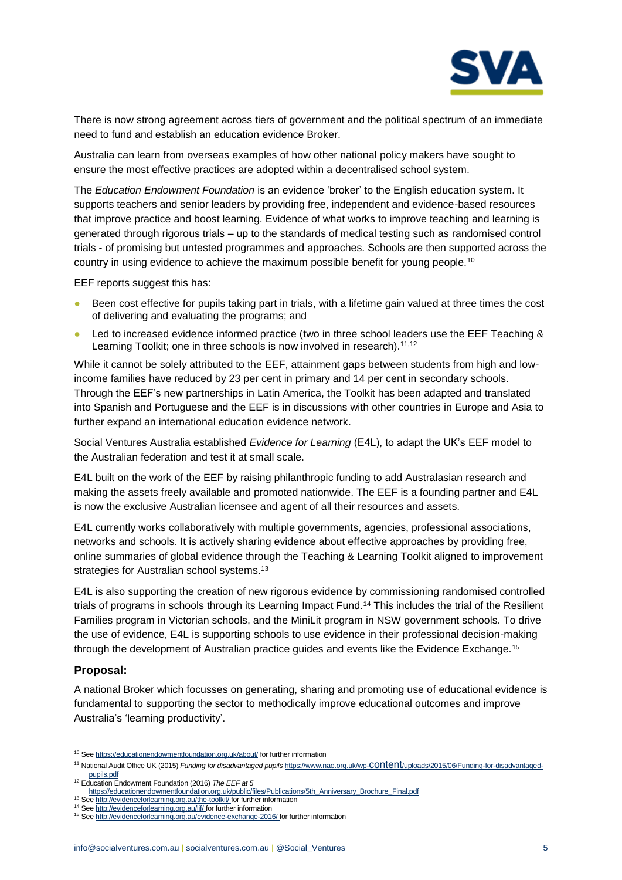

There is now strong agreement across tiers of government and the political spectrum of an immediate need to fund and establish an education evidence Broker.

Australia can learn from overseas examples of how other national policy makers have sought to ensure the most effective practices are adopted within a decentralised school system.

The *Education Endowment Foundation* is an evidence 'broker' to the English education system. It supports teachers and senior leaders by providing free, independent and evidence-based resources that improve practice and boost learning. Evidence of what works to improve teaching and learning is generated through rigorous trials – up to the standards of medical testing such as randomised control trials - of promising but untested programmes and approaches. Schools are then supported across the country in using evidence to achieve the maximum possible benefit for young people.<sup>10</sup>

EEF reports suggest this has:

- Been cost effective for pupils taking part in trials, with a lifetime gain valued at three times the cost of delivering and evaluating the programs; and
- Led to increased evidence informed practice (two in three school leaders use the EEF Teaching & Learning Toolkit; one in three schools is now involved in research).<sup>11,12</sup>

While it cannot be solely attributed to the EEF, attainment gaps between students from high and lowincome families have reduced by 23 per cent in primary and 14 per cent in secondary schools. Through the EEF's new partnerships in Latin America, the Toolkit has been adapted and translated into Spanish and Portuguese and the EEF is in discussions with other countries in Europe and Asia to further expand an international education evidence network.

Social Ventures Australia established *Evidence for Learning* (E4L), to adapt the UK's EEF model to the Australian federation and test it at small scale.

E4L built on the work of the EEF by raising philanthropic funding to add Australasian research and making the assets freely available and promoted nationwide. The EEF is a founding partner and E4L is now the exclusive Australian licensee and agent of all their resources and assets.

E4L currently works collaboratively with multiple governments, agencies, professional associations, networks and schools. It is actively sharing evidence about effective approaches by providing free, online summaries of global evidence through the Teaching & Learning Toolkit aligned to improvement strategies for Australian school systems.<sup>13</sup>

E4L is also supporting the creation of new rigorous evidence by commissioning randomised controlled trials of programs in schools through its Learning Impact Fund.<sup>14</sup> This includes the trial of the Resilient Families program in Victorian schools, and the MiniLit program in NSW government schools. To drive the use of evidence, E4L is supporting schools to use evidence in their professional decision-making through the development of Australian practice guides and events like the Evidence Exchange.<sup>15</sup>

## **Proposal:**

A national Broker which focusses on generating, sharing and promoting use of educational evidence is fundamental to supporting the sector to methodically improve educational outcomes and improve Australia's 'learning productivity'.

<sup>&</sup>lt;sup>10</sup> Se[e https://educationendowmentfoundation.org.uk/about/](https://educationendowmentfoundation.org.uk/about/) for further information

<sup>11</sup> National Audit Office UK (2015) *Funding for disadvantaged pupils* https://www.nao.org.uk/wp-content[/uploads/2015/06/Funding-for-disadvantaged](https://www.nao.org.uk/wp-content/uploads/2015/06/Funding-for-disadvantaged-pupils.pdf)[pupils.pdf](https://www.nao.org.uk/wp-content/uploads/2015/06/Funding-for-disadvantaged-pupils.pdf)

<sup>12</sup> Education Endowment Foundation (2016) *The EEF at 5*

[https://educationendowmentfoundation.org.uk/public/files/Publications/5th\\_Anniversary\\_Brochure\\_Final.pdf](https://educationendowmentfoundation.org.uk/public/files/Publications/5th_Anniversary_Brochure_Final.pdf)

<sup>13</sup> Se[e http://evidenceforlearning.org.au/the-toolkit/](http://evidenceforlearning.org.au/the-toolkit/) for further information

<sup>14</sup> Se[e http://evidenceforlearning.org.au/lif/](http://evidenceforlearning.org.au/lif/) for further information <sup>15</sup> Se[e http://evidenceforlearning.org.au/evidence-exchange-2016/](http://evidenceforlearning.org.au/evidence-exchange-2016/) for further information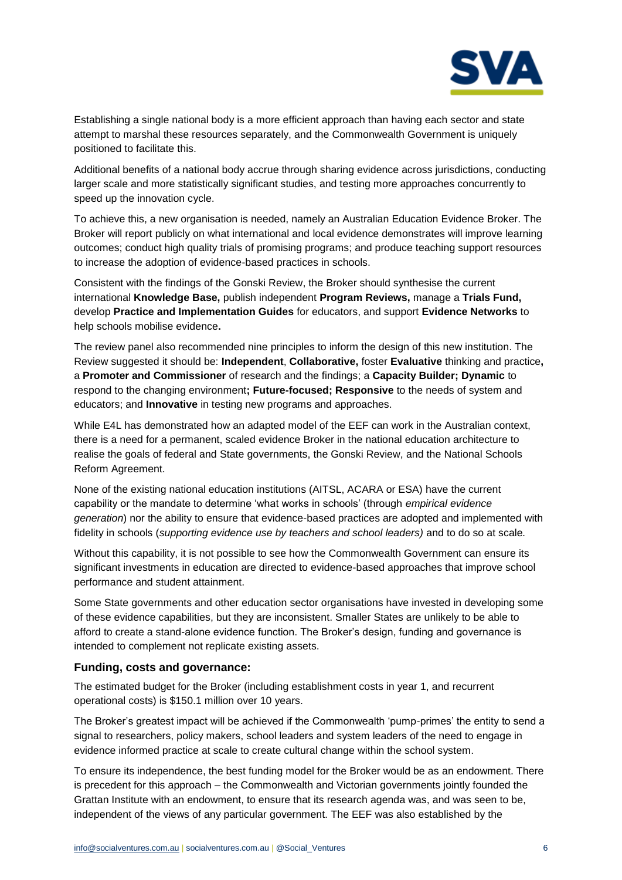

Establishing a single national body is a more efficient approach than having each sector and state attempt to marshal these resources separately, and the Commonwealth Government is uniquely positioned to facilitate this.

Additional benefits of a national body accrue through sharing evidence across jurisdictions, conducting larger scale and more statistically significant studies, and testing more approaches concurrently to speed up the innovation cycle.

To achieve this, a new organisation is needed, namely an Australian Education Evidence Broker. The Broker will report publicly on what international and local evidence demonstrates will improve learning outcomes; conduct high quality trials of promising programs; and produce teaching support resources to increase the adoption of evidence-based practices in schools.

Consistent with the findings of the Gonski Review, the Broker should synthesise the current international **Knowledge Base,** publish independent **Program Reviews,** manage a **Trials Fund,**  develop **Practice and Implementation Guides** for educators, and support **Evidence Networks** to help schools mobilise evidence**.** 

The review panel also recommended nine principles to inform the design of this new institution. The Review suggested it should be: **Independent**, **Collaborative,** foster **Evaluative** thinking and practice**,**  a **Promoter and Commissioner** of research and the findings; a **Capacity Builder; Dynamic** to respond to the changing environment**; Future-focused; Responsive** to the needs of system and educators; and **Innovative** in testing new programs and approaches.

While E4L has demonstrated how an adapted model of the EEF can work in the Australian context, there is a need for a permanent, scaled evidence Broker in the national education architecture to realise the goals of federal and State governments, the Gonski Review, and the National Schools Reform Agreement.

None of the existing national education institutions (AITSL, ACARA or ESA) have the current capability or the mandate to determine 'what works in schools' (through *empirical evidence generation*) nor the ability to ensure that evidence-based practices are adopted and implemented with fidelity in schools (*supporting evidence use by teachers and school leaders)* and to do so at scale*.* 

Without this capability, it is not possible to see how the Commonwealth Government can ensure its significant investments in education are directed to evidence-based approaches that improve school performance and student attainment.

Some State governments and other education sector organisations have invested in developing some of these evidence capabilities, but they are inconsistent. Smaller States are unlikely to be able to afford to create a stand-alone evidence function. The Broker's design, funding and governance is intended to complement not replicate existing assets.

## **Funding, costs and governance:**

The estimated budget for the Broker (including establishment costs in year 1, and recurrent operational costs) is \$150.1 million over 10 years.

The Broker's greatest impact will be achieved if the Commonwealth 'pump-primes' the entity to send a signal to researchers, policy makers, school leaders and system leaders of the need to engage in evidence informed practice at scale to create cultural change within the school system.

To ensure its independence, the best funding model for the Broker would be as an endowment. There is precedent for this approach – the Commonwealth and Victorian governments jointly founded the Grattan Institute with an endowment, to ensure that its research agenda was, and was seen to be, independent of the views of any particular government. The EEF was also established by the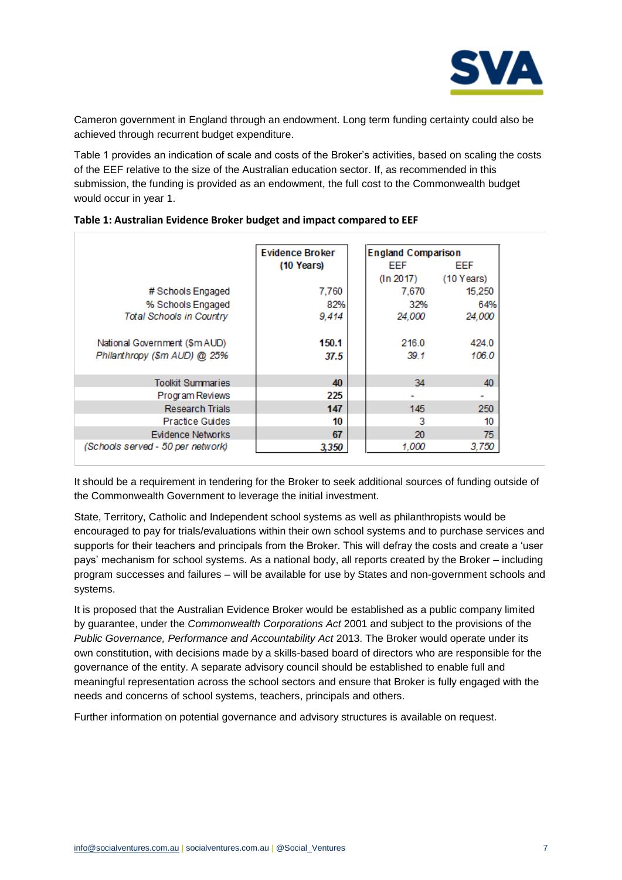

Cameron government in England through an endowment. Long term funding certainty could also be achieved through recurrent budget expenditure.

Table 1 provides an indication of scale and costs of the Broker's activities, based on scaling the costs of the EEF relative to the size of the Australian education sector. If, as recommended in this submission, the funding is provided as an endowment, the full cost to the Commonwealth budget would occur in year 1.

|                                   | <b>Evidence Broker</b> | <b>England Comparison</b> |              |
|-----------------------------------|------------------------|---------------------------|--------------|
|                                   | (10 Years)             | EEF                       | EEF          |
|                                   |                        | (In 2017)                 | $(10$ Years) |
| # Schools Engaged                 | 7,760                  | 7.670                     | 15,250       |
| % Schools Engaged                 | 82%                    | 32%                       | 64%          |
| <b>Total Schools in Country</b>   | 9,414                  | 24,000                    | 24,000       |
|                                   |                        |                           |              |
| National Government (\$m AUD)     | 150.1                  | 216.0                     | 424.0        |
| Philanthropy (\$m AUD) @ 25%      | 37.5                   | 39.1                      | 106.0        |
|                                   |                        |                           |              |
| <b>Toolkit Summaries</b>          | 40                     | 34                        | 40           |
| Program Reviews                   | 225                    |                           |              |
| <b>Research Trials</b>            | 147                    | 145                       | 250          |
| <b>Practice Guides</b>            | 10                     | 3                         | 10           |
| Evidence Networks                 | 67                     | 20                        | 75           |
| (Schools served - 50 per network) | 3,350                  | 1.000                     | 3,750        |

#### **Table 1: Australian Evidence Broker budget and impact compared to EEF**

It should be a requirement in tendering for the Broker to seek additional sources of funding outside of the Commonwealth Government to leverage the initial investment.

State, Territory, Catholic and Independent school systems as well as philanthropists would be encouraged to pay for trials/evaluations within their own school systems and to purchase services and supports for their teachers and principals from the Broker. This will defray the costs and create a 'user pays' mechanism for school systems. As a national body, all reports created by the Broker – including program successes and failures – will be available for use by States and non-government schools and systems.

It is proposed that the Australian Evidence Broker would be established as a public company limited by guarantee, under the *Commonwealth Corporations Act* 2001 and subject to the provisions of the Public Governance, Performance and Accountability Act 2013. The Broker would operate under its own constitution, with decisions made by a skills-based board of directors who are responsible for the governance of the entity. A separate advisory council should be established to enable full and meaningful representation across the school sectors and ensure that Broker is fully engaged with the needs and concerns of school systems, teachers, principals and others.

Further information on potential governance and advisory structures is available on request.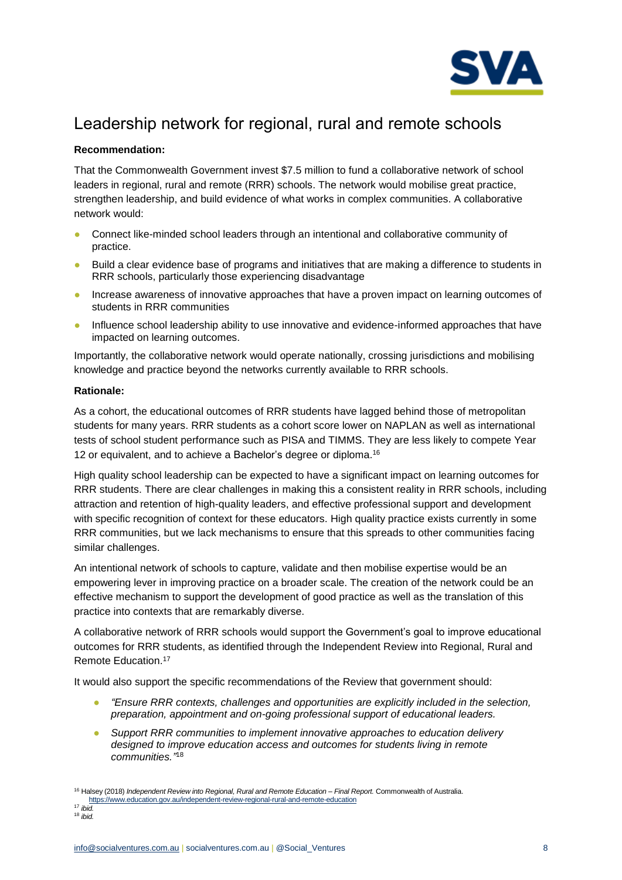

# Leadership network for regional, rural and remote schools

## **Recommendation:**

That the Commonwealth Government invest \$7.5 million to fund a collaborative network of school leaders in regional, rural and remote (RRR) schools. The network would mobilise great practice, strengthen leadership, and build evidence of what works in complex communities. A collaborative network would:

- Connect like-minded school leaders through an intentional and collaborative community of practice.
- Build a clear evidence base of programs and initiatives that are making a difference to students in RRR schools, particularly those experiencing disadvantage
- Increase awareness of innovative approaches that have a proven impact on learning outcomes of students in RRR communities
- Influence school leadership ability to use innovative and evidence-informed approaches that have impacted on learning outcomes.

Importantly, the collaborative network would operate nationally, crossing jurisdictions and mobilising knowledge and practice beyond the networks currently available to RRR schools.

## **Rationale:**

As a cohort, the educational outcomes of RRR students have lagged behind those of metropolitan students for many years. RRR students as a cohort score lower on NAPLAN as well as international tests of school student performance such as PISA and TIMMS. They are less likely to compete Year 12 or equivalent, and to achieve a Bachelor's degree or diploma.<sup>16</sup>

High quality school leadership can be expected to have a significant impact on learning outcomes for RRR students. There are clear challenges in making this a consistent reality in RRR schools, including attraction and retention of high-quality leaders, and effective professional support and development with specific recognition of context for these educators. High quality practice exists currently in some RRR communities, but we lack mechanisms to ensure that this spreads to other communities facing similar challenges.

An intentional network of schools to capture, validate and then mobilise expertise would be an empowering lever in improving practice on a broader scale. The creation of the network could be an effective mechanism to support the development of good practice as well as the translation of this practice into contexts that are remarkably diverse.

A collaborative network of RRR schools would support the Government's goal to improve educational outcomes for RRR students, as identified through the Independent Review into Regional, Rural and Remote Education.<sup>17</sup>

It would also support the specific recommendations of the Review that government should:

- *"Ensure RRR contexts, challenges and opportunities are explicitly included in the selection, preparation, appointment and on-going professional support of educational leaders.*
- *Support RRR communities to implement innovative approaches to education delivery designed to improve education access and outcomes for students living in remote communities."* 18

<sup>16</sup> Halsey (2018) *Independent Review into Regional, Rural and Remote Education – Final Report.* Commonwealth of Australia. <https://www.education.gov.au/independent-review-regional-rural-and-remote-education>

<sup>17</sup> *ibid.* <sup>18</sup> *ibid.*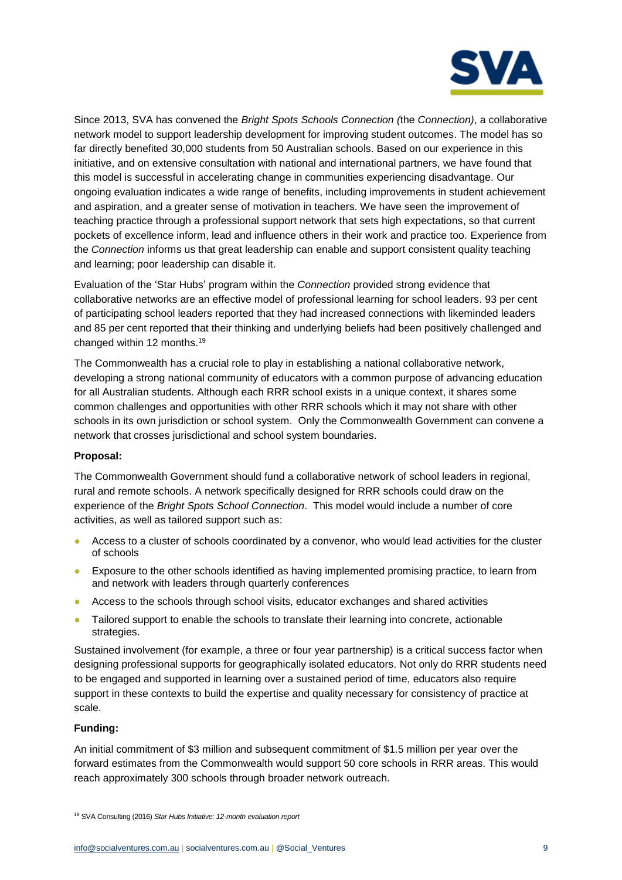

Since 2013, SVA has convened the *Bright Spots Schools Connection (*the *Connection)*, a collaborative network model to support leadership development for improving student outcomes. The model has so far directly benefited 30,000 students from 50 Australian schools. Based on our experience in this initiative, and on extensive consultation with national and international partners, we have found that this model is successful in accelerating change in communities experiencing disadvantage. Our ongoing evaluation indicates a wide range of benefits, including improvements in student achievement and aspiration, and a greater sense of motivation in teachers. We have seen the improvement of teaching practice through a professional support network that sets high expectations, so that current pockets of excellence inform, lead and influence others in their work and practice too. Experience from the *Connection* informs us that great leadership can enable and support consistent quality teaching and learning; poor leadership can disable it.

Evaluation of the 'Star Hubs' program within the *Connection* provided strong evidence that collaborative networks are an effective model of professional learning for school leaders. 93 per cent of participating school leaders reported that they had increased connections with likeminded leaders and 85 per cent reported that their thinking and underlying beliefs had been positively challenged and changed within 12 months. 19

The Commonwealth has a crucial role to play in establishing a national collaborative network, developing a strong national community of educators with a common purpose of advancing education for all Australian students. Although each RRR school exists in a unique context, it shares some common challenges and opportunities with other RRR schools which it may not share with other schools in its own jurisdiction or school system. Only the Commonwealth Government can convene a network that crosses jurisdictional and school system boundaries.

## **Proposal:**

The Commonwealth Government should fund a collaborative network of school leaders in regional, rural and remote schools. A network specifically designed for RRR schools could draw on the experience of the *Bright Spots School Connection*. This model would include a number of core activities, as well as tailored support such as:

- Access to a cluster of schools coordinated by a convenor, who would lead activities for the cluster of schools
- Exposure to the other schools identified as having implemented promising practice, to learn from and network with leaders through quarterly conferences
- Access to the schools through school visits, educator exchanges and shared activities
- Tailored support to enable the schools to translate their learning into concrete, actionable strategies.

Sustained involvement (for example, a three or four year partnership) is a critical success factor when designing professional supports for geographically isolated educators. Not only do RRR students need to be engaged and supported in learning over a sustained period of time, educators also require support in these contexts to build the expertise and quality necessary for consistency of practice at scale.

## **Funding:**

An initial commitment of \$3 million and subsequent commitment of \$1.5 million per year over the forward estimates from the Commonwealth would support 50 core schools in RRR areas. This would reach approximately 300 schools through broader network outreach.

<sup>19</sup> SVA Consulting (2016) *Star Hubs Initiative: 12-month evaluation report*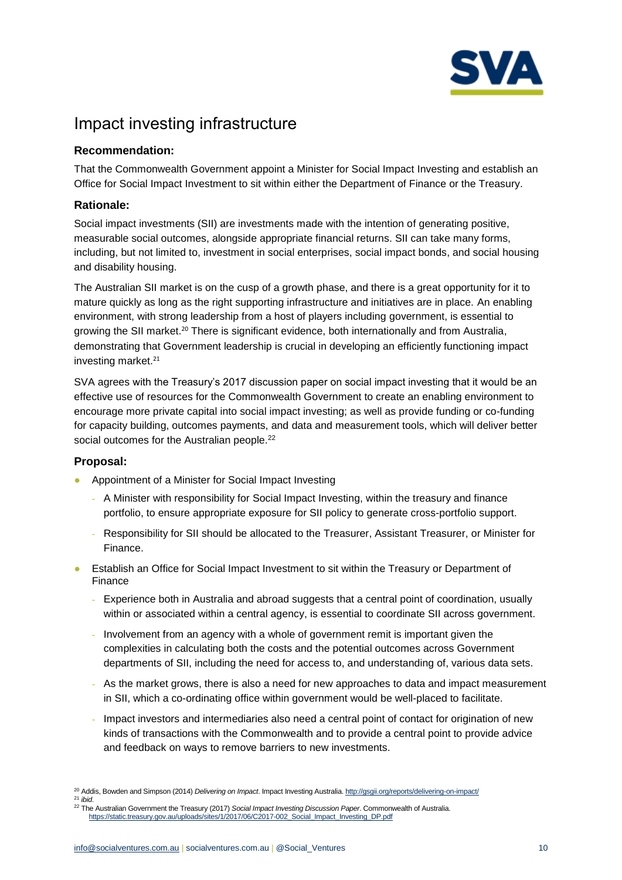

# Impact investing infrastructure

# **Recommendation:**

That the Commonwealth Government appoint a Minister for Social Impact Investing and establish an Office for Social Impact Investment to sit within either the Department of Finance or the Treasury.

# **Rationale:**

Social impact investments (SII) are investments made with the intention of generating positive, measurable social outcomes, alongside appropriate financial returns. SII can take many forms, including, but not limited to, investment in social enterprises, social impact bonds, and social housing and disability housing.

The Australian SII market is on the cusp of a growth phase, and there is a great opportunity for it to mature quickly as long as the right supporting infrastructure and initiatives are in place. An enabling environment, with strong leadership from a host of players including government, is essential to growing the SII market.<sup>20</sup> There is significant evidence, both internationally and from Australia, demonstrating that Government leadership is crucial in developing an efficiently functioning impact investing market.<sup>21</sup>

SVA agrees with the Treasury's 2017 discussion paper on social impact investing that it would be an effective use of resources for the Commonwealth Government to create an enabling environment to encourage more private capital into social impact investing; as well as provide funding or co-funding for capacity building, outcomes payments, and data and measurement tools, which will deliver better social outcomes for the Australian people.<sup>22</sup>

# **Proposal:**

- Appointment of a Minister for Social Impact Investing
	- A Minister with responsibility for Social Impact Investing, within the treasury and finance portfolio, to ensure appropriate exposure for SII policy to generate cross-portfolio support.
	- Responsibility for SII should be allocated to the Treasurer, Assistant Treasurer, or Minister for Finance.
- Establish an Office for Social Impact Investment to sit within the Treasury or Department of Finance
	- Experience both in Australia and abroad suggests that a central point of coordination, usually within or associated within a central agency, is essential to coordinate SII across government.
	- Involvement from an agency with a whole of government remit is important given the complexities in calculating both the costs and the potential outcomes across Government departments of SII, including the need for access to, and understanding of, various data sets.
	- As the market grows, there is also a need for new approaches to data and impact measurement in SII, which a co-ordinating office within government would be well-placed to facilitate.
	- Impact investors and intermediaries also need a central point of contact for origination of new kinds of transactions with the Commonwealth and to provide a central point to provide advice and feedback on ways to remove barriers to new investments.
- <sup>20</sup> Addis, Bowden and Simpson (2014) *Delivering on Impact*. Impact Investing Australia[. http://gsgii.org/reports/delivering-on-impact/](http://gsgii.org/reports/delivering-on-impact/)
- <sup>21</sup> *ibid*.
- <sup>22</sup> The Australian Government the Treasury (2017) *Social Impact Investing Discussion Paper*. Commonwealth of Australia. [https://static.treasury.gov.au/uploads/sites/1/2017/06/C2017-002\\_Social\\_Impact\\_Investing\\_DP.pdf](https://static.treasury.gov.au/uploads/sites/1/2017/06/C2017-002_Social_Impact_Investing_DP.pdf)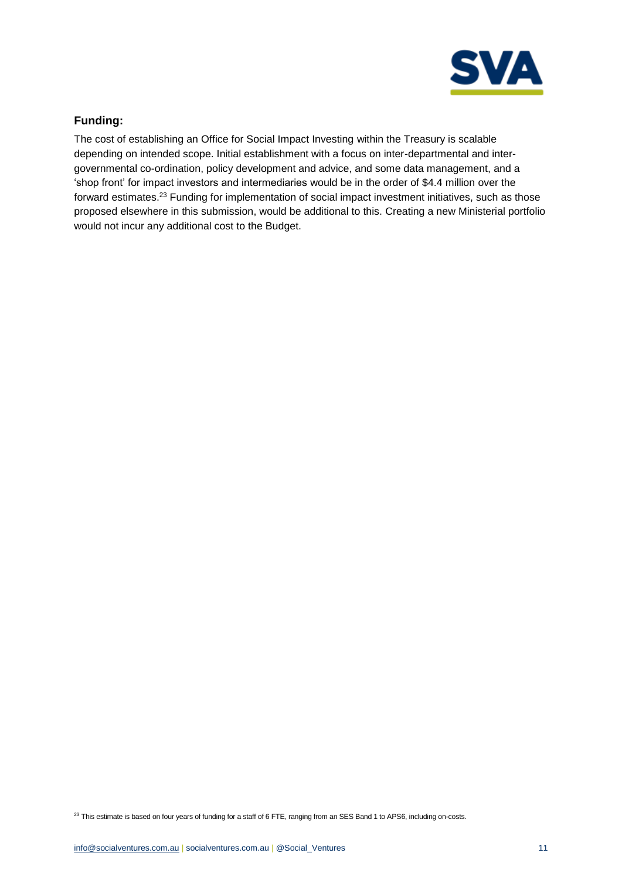

# **Funding:**

The cost of establishing an Office for Social Impact Investing within the Treasury is scalable depending on intended scope. Initial establishment with a focus on inter-departmental and intergovernmental co-ordination, policy development and advice, and some data management, and a 'shop front' for impact investors and intermediaries would be in the order of \$4.4 million over the forward estimates.<sup>23</sup> Funding for implementation of social impact investment initiatives, such as those proposed elsewhere in this submission, would be additional to this. Creating a new Ministerial portfolio would not incur any additional cost to the Budget.

<sup>23</sup> This estimate is based on four years of funding for a staff of 6 FTE, ranging from an SES Band 1 to APS6, including on-costs.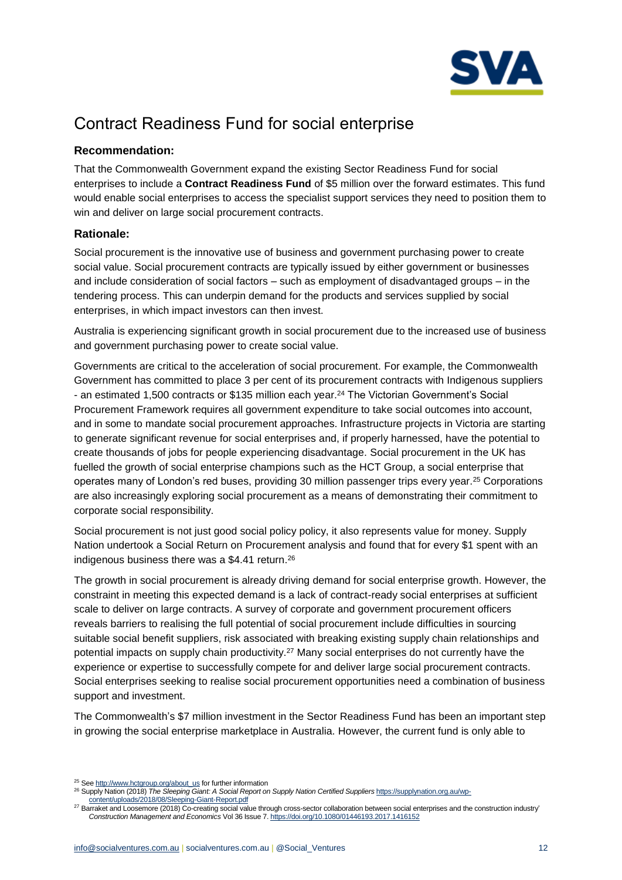

# Contract Readiness Fund for social enterprise

# **Recommendation:**

That the Commonwealth Government expand the existing Sector Readiness Fund for social enterprises to include a **Contract Readiness Fund** of \$5 million over the forward estimates. This fund would enable social enterprises to access the specialist support services they need to position them to win and deliver on large social procurement contracts.

# **Rationale:**

Social procurement is the innovative use of business and government purchasing power to create social value. Social procurement contracts are typically issued by either government or businesses and include consideration of social factors – such as employment of disadvantaged groups – in the tendering process. This can underpin demand for the products and services supplied by social enterprises, in which impact investors can then invest.

Australia is experiencing significant growth in social procurement due to the increased use of business and government purchasing power to create social value.

Governments are critical to the acceleration of social procurement. For example, the Commonwealth Government has committed to place 3 per cent of its procurement contracts with Indigenous suppliers - an estimated 1,500 contracts or \$135 million each year.<sup>24</sup> The Victorian Government's Social Procurement Framework requires all government expenditure to take social outcomes into account, and in some to mandate social procurement approaches. Infrastructure projects in Victoria are starting to generate significant revenue for social enterprises and, if properly harnessed, have the potential to create thousands of jobs for people experiencing disadvantage. Social procurement in the UK has fuelled the growth of social enterprise champions such as the HCT Group, a social enterprise that operates many of London's red buses, providing 30 million passenger trips every year.<sup>25</sup> Corporations are also increasingly exploring social procurement as a means of demonstrating their commitment to corporate social responsibility.

Social procurement is not just good social policy policy, it also represents value for money. Supply Nation undertook a Social Return on Procurement analysis and found that for every \$1 spent with an indigenous business there was a \$4.41 return. 26

The growth in social procurement is already driving demand for social enterprise growth. However, the constraint in meeting this expected demand is a lack of contract-ready social enterprises at sufficient scale to deliver on large contracts. A survey of corporate and government procurement officers reveals barriers to realising the full potential of social procurement include difficulties in sourcing suitable social benefit suppliers, risk associated with breaking existing supply chain relationships and potential impacts on supply chain productivity.<sup>27</sup> Many social enterprises do not currently have the experience or expertise to successfully compete for and deliver large social procurement contracts. Social enterprises seeking to realise social procurement opportunities need a combination of business support and investment.

The Commonwealth's \$7 million investment in the Sector Readiness Fund has been an important step in growing the social enterprise marketplace in Australia. However, the current fund is only able to

<sup>&</sup>lt;sup>25</sup> See [http://www.hctgroup.org/about\\_us](http://www.hctgroup.org/about_us) for further information

<sup>&</sup>lt;sup>26</sup> Supply Nation (2018) *The Sleeping Giant: A Social Report on Supply Nation Certified Suppliers* [https://supplynation.org.au/wp](https://supplynation.org.au/wp-content/uploads/2018/08/Sleeping-Giant-Report.pdf)[content/uploads/2018/08/Sleeping-Giant-Report.pdf](https://supplynation.org.au/wp-content/uploads/2018/08/Sleeping-Giant-Report.pdf)

<sup>27</sup> Barraket and Loosemore (2018) Co-creating social value through cross-sector collaboration between social enterprises and the construction industry' *Construction Management and Economics* Vol 36 Issue 7[. https://doi.org/10.1080/01446193.2017.1416152](https://doi.org/10.1080/01446193.2017.1416152)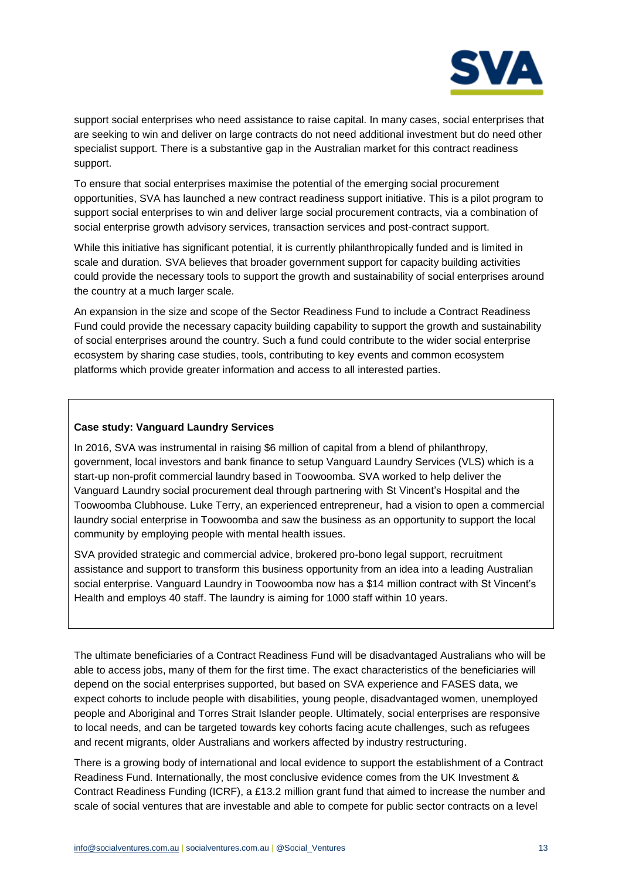

support social enterprises who need assistance to raise capital. In many cases, social enterprises that are seeking to win and deliver on large contracts do not need additional investment but do need other specialist support. There is a substantive gap in the Australian market for this contract readiness support.

To ensure that social enterprises maximise the potential of the emerging social procurement opportunities, SVA has launched a new contract readiness support initiative. This is a pilot program to support social enterprises to win and deliver large social procurement contracts, via a combination of social enterprise growth advisory services, transaction services and post-contract support.

While this initiative has significant potential, it is currently philanthropically funded and is limited in scale and duration. SVA believes that broader government support for capacity building activities could provide the necessary tools to support the growth and sustainability of social enterprises around the country at a much larger scale.

An expansion in the size and scope of the Sector Readiness Fund to include a Contract Readiness Fund could provide the necessary capacity building capability to support the growth and sustainability of social enterprises around the country. Such a fund could contribute to the wider social enterprise ecosystem by sharing case studies, tools, contributing to key events and common ecosystem platforms which provide greater information and access to all interested parties.

#### **Case study: Vanguard Laundry Services**

In 2016, SVA was instrumental in raising \$6 million of capital from a blend of philanthropy, government, local investors and bank finance to setup Vanguard Laundry Services (VLS) which is a start-up non-profit commercial laundry based in Toowoomba. SVA worked to help deliver the Vanguard Laundry social procurement deal through partnering with St Vincent's Hospital and the Toowoomba Clubhouse. Luke Terry, an experienced entrepreneur, had a vision to open a commercial laundry social enterprise in Toowoomba and saw the business as an opportunity to support the local community by employing people with mental health issues.

SVA provided strategic and commercial advice, brokered pro-bono legal support, recruitment assistance and support to transform this business opportunity from an idea into a leading Australian social enterprise. Vanguard Laundry in Toowoomba now has a \$14 million contract with St Vincent's Health and employs 40 staff. The laundry is aiming for 1000 staff within 10 years.

The ultimate beneficiaries of a Contract Readiness Fund will be disadvantaged Australians who will be able to access jobs, many of them for the first time. The exact characteristics of the beneficiaries will depend on the social enterprises supported, but based on SVA experience and FASES data, we expect cohorts to include people with disabilities, young people, disadvantaged women, unemployed people and Aboriginal and Torres Strait Islander people. Ultimately, social enterprises are responsive to local needs, and can be targeted towards key cohorts facing acute challenges, such as refugees and recent migrants, older Australians and workers affected by industry restructuring.

There is a growing body of international and local evidence to support the establishment of a Contract Readiness Fund. Internationally, the most conclusive evidence comes from the UK Investment & Contract Readiness Funding (ICRF), a £13.2 million grant fund that aimed to increase the number and scale of social ventures that are investable and able to compete for public sector contracts on a level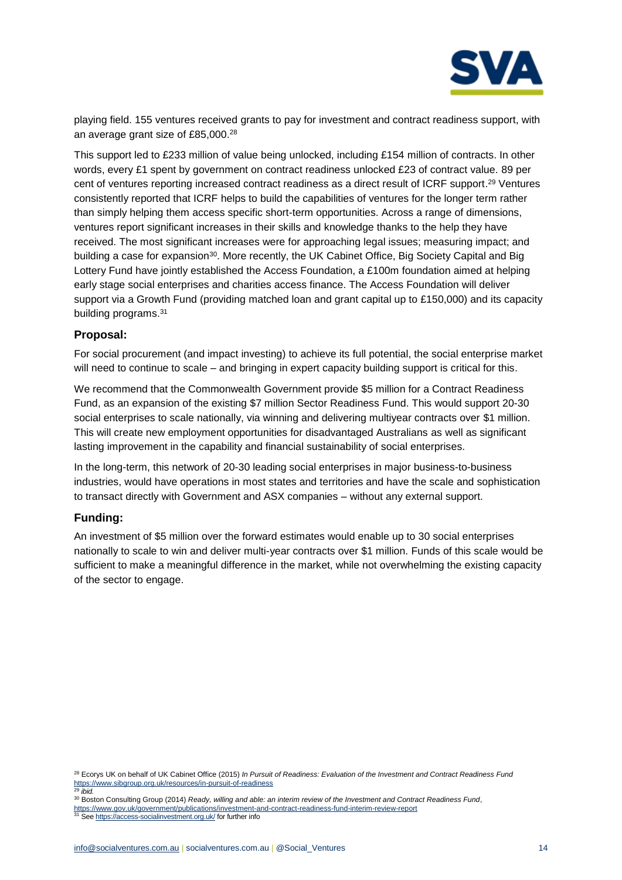

playing field. 155 ventures received grants to pay for investment and contract readiness support, with an average grant size of £85,000.<sup>28</sup>

This support led to £233 million of value being unlocked, including £154 million of contracts. In other words, every £1 spent by government on contract readiness unlocked £23 of contract value. 89 per cent of ventures reporting increased contract readiness as a direct result of ICRF support. <sup>29</sup> Ventures consistently reported that ICRF helps to build the capabilities of ventures for the longer term rather than simply helping them access specific short-term opportunities. Across a range of dimensions, ventures report significant increases in their skills and knowledge thanks to the help they have received. The most significant increases were for approaching legal issues; measuring impact; and building a case for expansion<sup>30</sup>. More recently, the UK Cabinet Office, Big Society Capital and Big Lottery Fund have jointly established the Access Foundation, a £100m foundation aimed at helping early stage social enterprises and charities access finance. The Access Foundation will deliver support via a Growth Fund (providing matched loan and grant capital up to £150,000) and its capacity building programs.<sup>31</sup>

## **Proposal:**

For social procurement (and impact investing) to achieve its full potential, the social enterprise market will need to continue to scale – and bringing in expert capacity building support is critical for this.

We recommend that the Commonwealth Government provide \$5 million for a Contract Readiness Fund, as an expansion of the existing \$7 million Sector Readiness Fund. This would support 20-30 social enterprises to scale nationally, via winning and delivering multiyear contracts over \$1 million. This will create new employment opportunities for disadvantaged Australians as well as significant lasting improvement in the capability and financial sustainability of social enterprises.

In the long-term, this network of 20-30 leading social enterprises in major business-to-business industries, would have operations in most states and territories and have the scale and sophistication to transact directly with Government and ASX companies – without any external support.

## **Funding:**

An investment of \$5 million over the forward estimates would enable up to 30 social enterprises nationally to scale to win and deliver multi-year contracts over \$1 million. Funds of this scale would be sufficient to make a meaningful difference in the market, while not overwhelming the existing capacity of the sector to engage.

<sup>28</sup> Ecorys UK on behalf of UK Cabinet Office (2015) *In Pursuit of Readiness: Evaluation of the Investment and Contract Readiness Fund* <https://www.sibgroup.org.uk/resources/in-pursuit-of-readiness> <sup>29</sup> *ibid.*

<sup>30</sup> Boston Consulting Group (2014) *Ready, willing and able: an interim review of the Investment and Contract Readiness Fund*,

https://www.gov.uk/government/publications/investment-and-contract-readiness-fund-interim-review-report <sup>31</sup> See <https://access-socialinvestment.org.uk/> for further info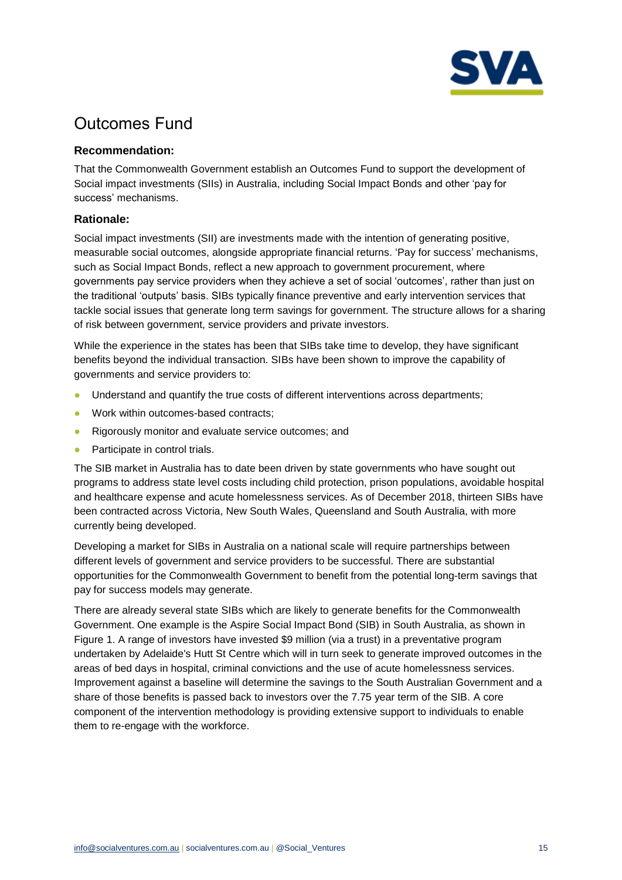

# Outcomes Fund

# **Recommendation:**

That the Commonwealth Government establish an Outcomes Fund to support the development of Social impact investments (SIIs) in Australia, including Social Impact Bonds and other 'pay for success' mechanisms.

## **Rationale:**

Social impact investments (SII) are investments made with the intention of generating positive, measurable social outcomes, alongside appropriate financial returns. 'Pay for success' mechanisms, such as Social Impact Bonds, reflect a new approach to government procurement, where governments pay service providers when they achieve a set of social 'outcomes', rather than just on the traditional 'outputs' basis. SIBs typically finance preventive and early intervention services that tackle social issues that generate long term savings for government. The structure allows for a sharing of risk between government, service providers and private investors.

While the experience in the states has been that SIBs take time to develop, they have significant benefits beyond the individual transaction. SIBs have been shown to improve the capability of governments and service providers to:

- Understand and quantify the true costs of different interventions across departments;
- Work within outcomes-based contracts;
- Rigorously monitor and evaluate service outcomes: and
- Participate in control trials.

The SIB market in Australia has to date been driven by state governments who have sought out programs to address state level costs including child protection, prison populations, avoidable hospital and healthcare expense and acute homelessness services. As of December 2018, thirteen SIBs have been contracted across Victoria, New South Wales, Queensland and South Australia, with more currently being developed.

Developing a market for SIBs in Australia on a national scale will require partnerships between different levels of government and service providers to be successful. There are substantial opportunities for the Commonwealth Government to benefit from the potential long-term savings that pay for success models may generate.

There are already several state SIBs which are likely to generate benefits for the Commonwealth Government. One example is the Aspire Social Impact Bond (SIB) in South Australia, as shown in Figure 1. A range of investors have invested \$9 million (via a trust) in a preventative program undertaken by Adelaide's Hutt St Centre which will in turn seek to generate improved outcomes in the areas of bed days in hospital, criminal convictions and the use of acute homelessness services. Improvement against a baseline will determine the savings to the South Australian Government and a share of those benefits is passed back to investors over the 7.75 year term of the SIB. A core component of the intervention methodology is providing extensive support to individuals to enable them to re-engage with the workforce.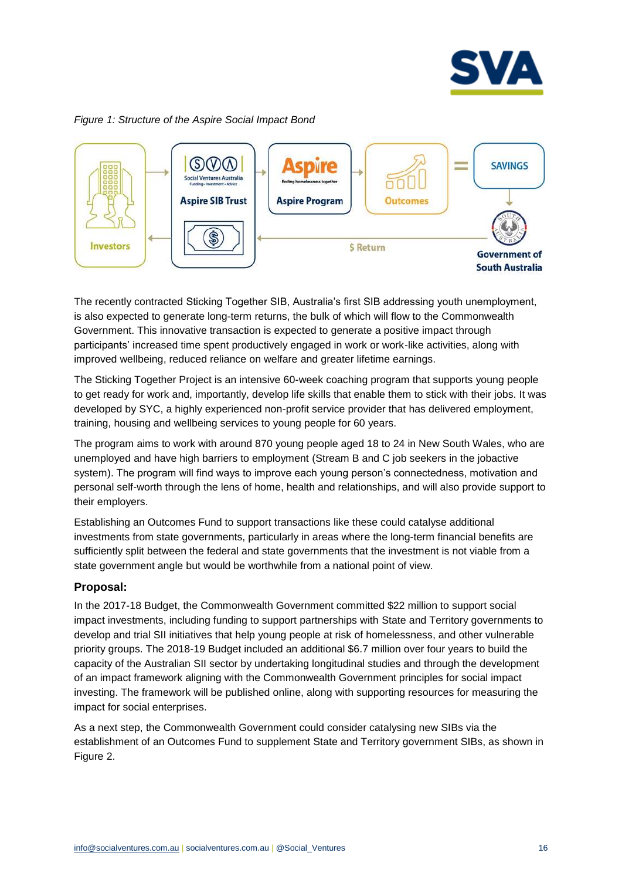

## *Figure 1: Structure of the Aspire Social Impact Bond*



The recently contracted Sticking Together SIB, Australia's first SIB addressing youth unemployment, is also expected to generate long-term returns, the bulk of which will flow to the Commonwealth Government. This innovative transaction is expected to generate a positive impact through participants' increased time spent productively engaged in work or work-like activities, along with improved wellbeing, reduced reliance on welfare and greater lifetime earnings.

The Sticking Together Project is an intensive 60-week coaching program that supports young people to get ready for work and, importantly, develop life skills that enable them to stick with their jobs. It was developed by SYC, a highly experienced non-profit service provider that has delivered employment, training, housing and wellbeing services to young people for 60 years.

The program aims to work with around 870 young people aged 18 to 24 in New South Wales, who are unemployed and have high barriers to employment (Stream B and C job seekers in the jobactive system). The program will find ways to improve each young person's connectedness, motivation and personal self-worth through the lens of home, health and relationships, and will also provide support to their employers.

Establishing an Outcomes Fund to support transactions like these could catalyse additional investments from state governments, particularly in areas where the long-term financial benefits are sufficiently split between the federal and state governments that the investment is not viable from a state government angle but would be worthwhile from a national point of view.

## **Proposal:**

In the 2017-18 Budget, the Commonwealth Government committed \$22 million to support social impact investments, including funding to support partnerships with State and Territory governments to develop and trial SII initiatives that help young people at risk of homelessness, and other vulnerable priority groups. The 2018-19 Budget included an additional \$6.7 million over four years to build the capacity of the Australian SII sector by undertaking longitudinal studies and through the development of an impact framework aligning with the Commonwealth Government principles for social impact investing. The framework will be published online, along with supporting resources for measuring the impact for social enterprises.

As a next step, the Commonwealth Government could consider catalysing new SIBs via the establishment of an Outcomes Fund to supplement State and Territory government SIBs, as shown in Figure 2.